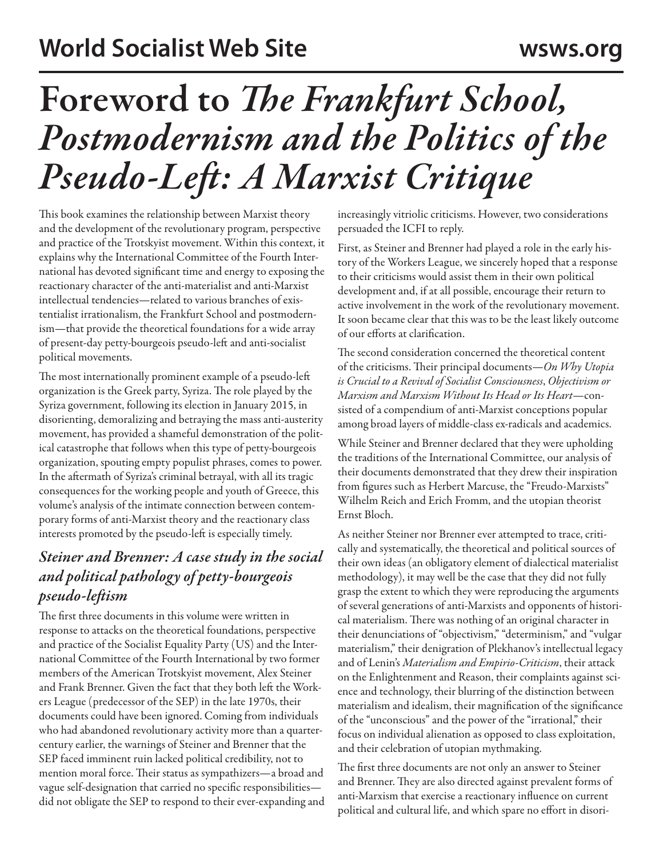# Foreword to *The Frankfurt School, Postmodernism and the Politics of the Pseudo-Left: A Marxist Critique*

This book examines the relationship between Marxist theory and the development of the revolutionary program, perspective and practice of the Trotskyist movement. Within this context, it explains why the International Committee of the Fourth International has devoted significant time and energy to exposing the reactionary character of the anti-materialist and anti-Marxist intellectual tendencies—related to various branches of existentialist irrationalism, the Frankfurt School and postmodernism—that provide the theoretical foundations for a wide array of present-day petty-bourgeois pseudo-left and anti-socialist political movements.

The most internationally prominent example of a pseudo-left organization is the Greek party, Syriza. The role played by the Syriza government, following its election in January 2015, in disorienting, demoralizing and betraying the mass anti-austerity movement, has provided a shameful demonstration of the political catastrophe that follows when this type of petty-bourgeois organization, spouting empty populist phrases, comes to power. In the aftermath of Syriza's criminal betrayal, with all its tragic consequences for the working people and youth of Greece, this volume's analysis of the intimate connection between contemporary forms of anti-Marxist theory and the reactionary class interests promoted by the pseudo-left is especially timely.

# *Steiner and Brenner: A case study in the social and political pathology of petty-bourgeois pseudo-leftism*

The first three documents in this volume were written in response to attacks on the theoretical foundations, perspective and practice of the Socialist Equality Party (US) and the International Committee of the Fourth International by two former members of the American Trotskyist movement, Alex Steiner and Frank Brenner. Given the fact that they both left the Workers League (predecessor of the SEP) in the late 1970s, their documents could have been ignored. Coming from individuals who had abandoned revolutionary activity more than a quartercentury earlier, the warnings of Steiner and Brenner that the SEP faced imminent ruin lacked political credibility, not to mention moral force. Their status as sympathizers—a broad and vague self-designation that carried no specific responsibilities did not obligate the SEP to respond to their ever-expanding and increasingly vitriolic criticisms. However, two considerations persuaded the ICFI to reply.

First, as Steiner and Brenner had played a role in the early history of the Workers League, we sincerely hoped that a response to their criticisms would assist them in their own political development and, if at all possible, encourage their return to active involvement in the work of the revolutionary movement. It soon became clear that this was to be the least likely outcome of our efforts at clarification.

The second consideration concerned the theoretical content of the criticisms. Their principal documents—*On Why Utopia is Crucial to a Revival of Socialist Consciousness*, *Objectivism or Marxism and Marxism Without Its Head or Its Heart*—consisted of a compendium of anti-Marxist conceptions popular among broad layers of middle-class ex-radicals and academics.

While Steiner and Brenner declared that they were upholding the traditions of the International Committee, our analysis of their documents demonstrated that they drew their inspiration from figures such as Herbert Marcuse, the "Freudo-Marxists" Wilhelm Reich and Erich Fromm, and the utopian theorist Ernst Bloch.

As neither Steiner nor Brenner ever attempted to trace, critically and systematically, the theoretical and political sources of their own ideas (an obligatory element of dialectical materialist methodology), it may well be the case that they did not fully grasp the extent to which they were reproducing the arguments of several generations of anti-Marxists and opponents of historical materialism. There was nothing of an original character in their denunciations of "objectivism," "determinism," and "vulgar materialism," their denigration of Plekhanov's intellectual legacy and of Lenin's *Materialism and Empirio-Criticism*, their attack on the Enlightenment and Reason, their complaints against science and technology, their blurring of the distinction between materialism and idealism, their magnification of the significance of the "unconscious" and the power of the "irrational," their focus on individual alienation as opposed to class exploitation, and their celebration of utopian mythmaking.

The first three documents are not only an answer to Steiner and Brenner. They are also directed against prevalent forms of anti-Marxism that exercise a reactionary influence on current political and cultural life, and which spare no effort in disori-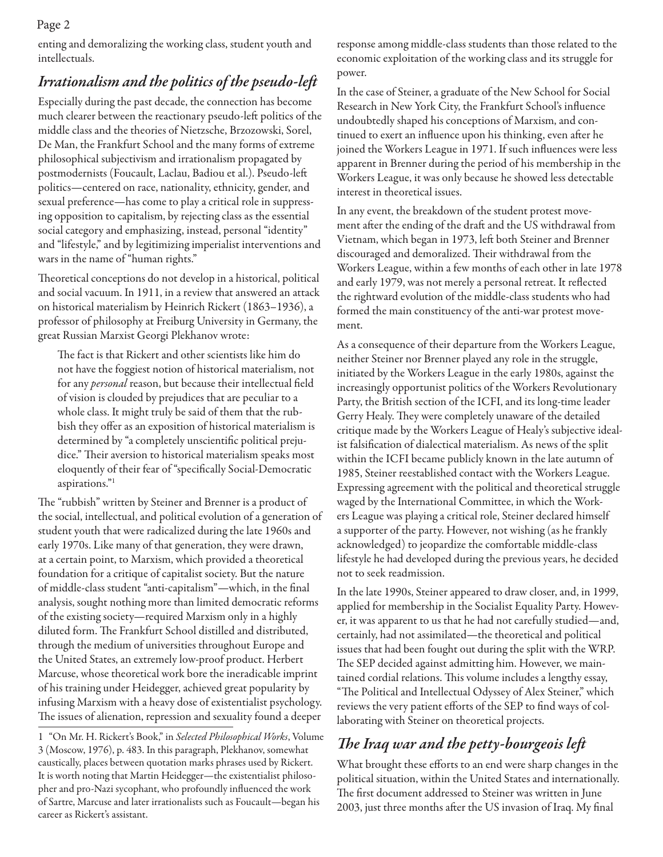enting and demoralizing the working class, student youth and intellectuals.

## *Irrationalism and the politics of the pseudo-left*

Especially during the past decade, the connection has become much clearer between the reactionary pseudo-left politics of the middle class and the theories of Nietzsche, Brzozowski, Sorel, De Man, the Frankfurt School and the many forms of extreme philosophical subjectivism and irrationalism propagated by postmodernists (Foucault, Laclau, Badiou et al.). Pseudo-left politics—centered on race, nationality, ethnicity, gender, and sexual preference—has come to play a critical role in suppressing opposition to capitalism, by rejecting class as the essential social category and emphasizing, instead, personal "identity" and "lifestyle," and by legitimizing imperialist interventions and wars in the name of "human rights."

Theoretical conceptions do not develop in a historical, political and social vacuum. In 1911, in a review that answered an attack on historical materialism by Heinrich Rickert (1863–1936), a professor of philosophy at Freiburg University in Germany, the great Russian Marxist Georgi Plekhanov wrote:

The fact is that Rickert and other scientists like him do not have the foggiest notion of historical materialism, not for any *personal* reason, but because their intellectual field of vision is clouded by prejudices that are peculiar to a whole class. It might truly be said of them that the rubbish they offer as an exposition of historical materialism is determined by "a completely unscientific political prejudice." Their aversion to historical materialism speaks most eloquently of their fear of "specifically Social-Democratic aspirations."1

The "rubbish" written by Steiner and Brenner is a product of the social, intellectual, and political evolution of a generation of student youth that were radicalized during the late 1960s and early 1970s. Like many of that generation, they were drawn, at a certain point, to Marxism, which provided a theoretical foundation for a critique of capitalist society. But the nature of middle-class student "anti-capitalism"—which, in the final analysis, sought nothing more than limited democratic reforms of the existing society—required Marxism only in a highly diluted form. The Frankfurt School distilled and distributed, through the medium of universities throughout Europe and the United States, an extremely low-proof product. Herbert Marcuse, whose theoretical work bore the ineradicable imprint of his training under Heidegger, achieved great popularity by infusing Marxism with a heavy dose of existentialist psychology. The issues of alienation, repression and sexuality found a deeper

response among middle-class students than those related to the economic exploitation of the working class and its struggle for power.

In the case of Steiner, a graduate of the New School for Social Research in New York City, the Frankfurt School's influence undoubtedly shaped his conceptions of Marxism, and continued to exert an influence upon his thinking, even after he joined the Workers League in 1971. If such influences were less apparent in Brenner during the period of his membership in the Workers League, it was only because he showed less detectable interest in theoretical issues.

In any event, the breakdown of the student protest movement after the ending of the draft and the US withdrawal from Vietnam, which began in 1973, left both Steiner and Brenner discouraged and demoralized. Their withdrawal from the Workers League, within a few months of each other in late 1978 and early 1979, was not merely a personal retreat. It reflected the rightward evolution of the middle-class students who had formed the main constituency of the anti-war protest movement.

As a consequence of their departure from the Workers League, neither Steiner nor Brenner played any role in the struggle, initiated by the Workers League in the early 1980s, against the increasingly opportunist politics of the Workers Revolutionary Party, the British section of the ICFI, and its long-time leader Gerry Healy. They were completely unaware of the detailed critique made by the Workers League of Healy's subjective idealist falsification of dialectical materialism. As news of the split within the ICFI became publicly known in the late autumn of 1985, Steiner reestablished contact with the Workers League. Expressing agreement with the political and theoretical struggle waged by the International Committee, in which the Workers League was playing a critical role, Steiner declared himself a supporter of the party. However, not wishing (as he frankly acknowledged) to jeopardize the comfortable middle-class lifestyle he had developed during the previous years, he decided not to seek readmission.

In the late 1990s, Steiner appeared to draw closer, and, in 1999, applied for membership in the Socialist Equality Party. However, it was apparent to us that he had not carefully studied—and, certainly, had not assimilated—the theoretical and political issues that had been fought out during the split with the WRP. The SEP decided against admitting him. However, we maintained cordial relations. This volume includes a lengthy essay, "The Political and Intellectual Odyssey of Alex Steiner," which reviews the very patient efforts of the SEP to find ways of collaborating with Steiner on theoretical projects.

## *The Iraq war and the petty-bourgeois left*

What brought these efforts to an end were sharp changes in the political situation, within the United States and internationally. The first document addressed to Steiner was written in June 2003, just three months after the US invasion of Iraq. My final

<sup>1</sup> "On Mr. H. Rickert's Book," in *Selected Philosophical Works*, Volume 3 (Moscow, 1976), p. 483. In this paragraph, Plekhanov, somewhat caustically, places between quotation marks phrases used by Rickert. It is worth noting that Martin Heidegger—the existentialist philosopher and pro-Nazi sycophant, who profoundly influenced the work of Sartre, Marcuse and later irrationalists such as Foucault—began his career as Rickert's assistant.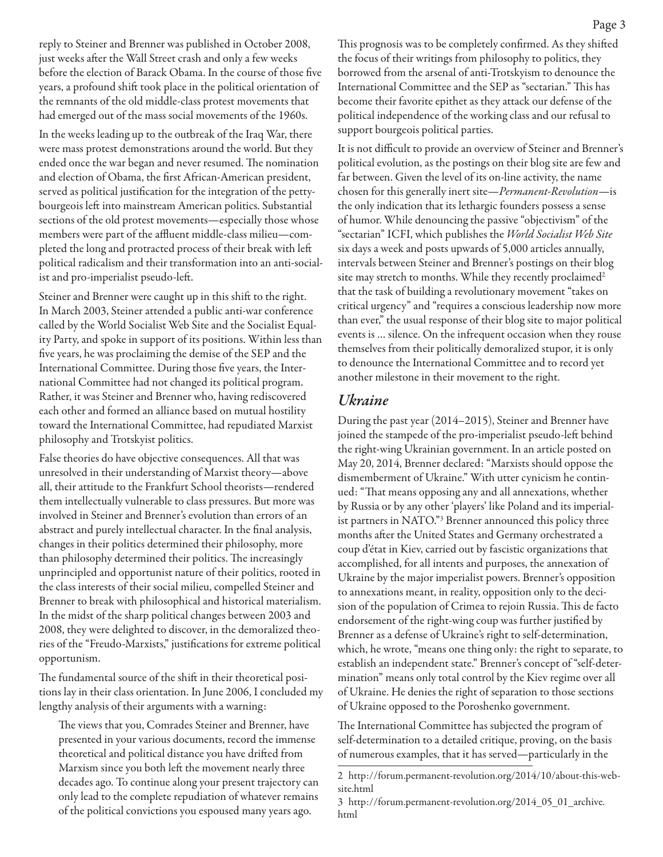reply to Steiner and Brenner was published in October 2008, just weeks after the Wall Street crash and only a few weeks before the election of Barack Obama. In the course of those five years, a profound shift took place in the political orientation of the remnants of the old middle-class protest movements that had emerged out of the mass social movements of the 1960s.

In the weeks leading up to the outbreak of the Iraq War, there were mass protest demonstrations around the world. But they ended once the war began and never resumed. The nomination and election of Obama, the first African-American president, served as political justification for the integration of the pettybourgeois left into mainstream American politics. Substantial sections of the old protest movements—especially those whose members were part of the affluent middle-class milieu—completed the long and protracted process of their break with left political radicalism and their transformation into an anti-socialist and pro-imperialist pseudo-left.

Steiner and Brenner were caught up in this shift to the right. In March 2003, Steiner attended a public anti-war conference called by the World Socialist Web Site and the Socialist Equality Party, and spoke in support of its positions. Within less than five years, he was proclaiming the demise of the SEP and the International Committee. During those five years, the International Committee had not changed its political program. Rather, it was Steiner and Brenner who, having rediscovered each other and formed an alliance based on mutual hostility toward the International Committee, had repudiated Marxist philosophy and Trotskyist politics.

False theories do have objective consequences. All that was unresolved in their understanding of Marxist theory—above all, their attitude to the Frankfurt School theorists—rendered them intellectually vulnerable to class pressures. But more was involved in Steiner and Brenner's evolution than errors of an abstract and purely intellectual character. In the final analysis, changes in their politics determined their philosophy, more than philosophy determined their politics. The increasingly unprincipled and opportunist nature of their politics, rooted in the class interests of their social milieu, compelled Steiner and Brenner to break with philosophical and historical materialism. In the midst of the sharp political changes between 2003 and 2008, they were delighted to discover, in the demoralized theories of the "Freudo-Marxists," justifications for extreme political opportunism.

The fundamental source of the shift in their theoretical positions lay in their class orientation. In June 2006, I concluded my lengthy analysis of their arguments with a warning:

The views that you, Comrades Steiner and Brenner, have presented in your various documents, record the immense theoretical and political distance you have drifted from Marxism since you both left the movement nearly three decades ago. To continue along your present trajectory can only lead to the complete repudiation of whatever remains of the political convictions you espoused many years ago.

This prognosis was to be completely confirmed. As they shifted the focus of their writings from philosophy to politics, they borrowed from the arsenal of anti-Trotskyism to denounce the International Committee and the SEP as "sectarian." This has become their favorite epithet as they attack our defense of the political independence of the working class and our refusal to support bourgeois political parties.

It is not difficult to provide an overview of Steiner and Brenner's political evolution, as the postings on their blog site are few and far between. Given the level of its on-line activity, the name chosen for this generally inert site—*Permanent-Revolution*—is the only indication that its lethargic founders possess a sense of humor. While denouncing the passive "objectivism" of the "sectarian" ICFI, which publishes the *World Socialist Web Site* six days a week and posts upwards of 5,000 articles annually, intervals between Steiner and Brenner's postings on their blog site may stretch to months. While they recently proclaimed<sup>2</sup> that the task of building a revolutionary movement "takes on critical urgency" and "requires a conscious leadership now more than ever," the usual response of their blog site to major political events is … silence. On the infrequent occasion when they rouse themselves from their politically demoralized stupor, it is only to denounce the International Committee and to record yet another milestone in their movement to the right.

#### *Ukraine*

During the past year (2014–2015), Steiner and Brenner have joined the stampede of the pro-imperialist pseudo-left behind the right-wing Ukrainian government. In an article posted on May 20, 2014, Brenner declared: "Marxists should oppose the dismemberment of Ukraine." With utter cynicism he continued: "That means opposing any and all annexations, whether by Russia or by any other 'players' like Poland and its imperialist partners in NATO."3 Brenner announced this policy three months after the United States and Germany orchestrated a coup d'état in Kiev, carried out by fascistic organizations that accomplished, for all intents and purposes, the annexation of Ukraine by the major imperialist powers. Brenner's opposition to annexations meant, in reality, opposition only to the decision of the population of Crimea to rejoin Russia. This de facto endorsement of the right-wing coup was further justified by Brenner as a defense of Ukraine's right to self-determination, which, he wrote, "means one thing only: the right to separate, to establish an independent state." Brenner's concept of "self-determination" means only total control by the Kiev regime over all of Ukraine. He denies the right of separation to those sections of Ukraine opposed to the Poroshenko government.

The International Committee has subjected the program of self-determination to a detailed critique, proving, on the basis of numerous examples, that it has served—particularly in the

<sup>2</sup> http://forum.permanent-revolution.org/2014/10/about-this-website.html

<sup>3</sup> http://forum.permanent-revolution.org/2014\_05\_01\_archive. html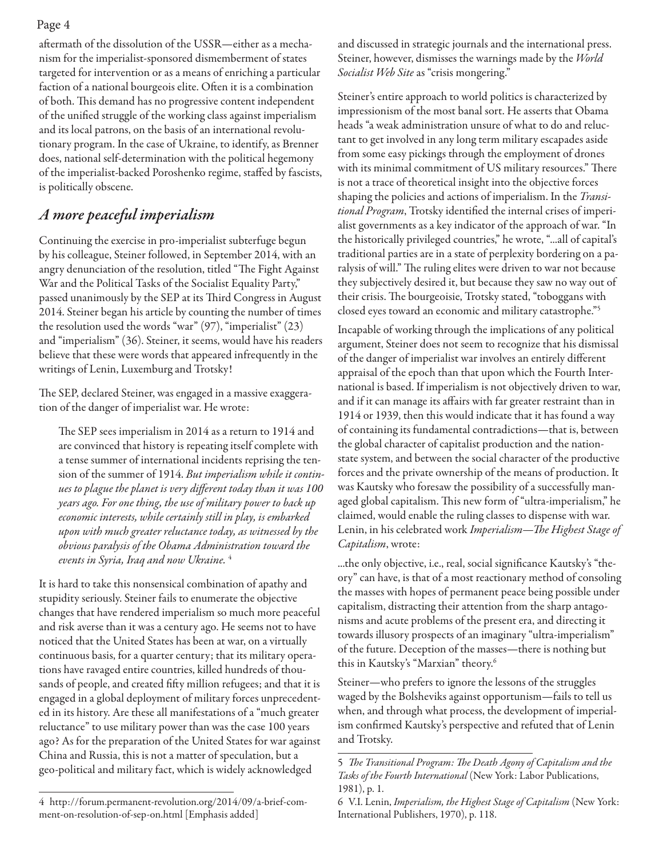aftermath of the dissolution of the USSR—either as a mechanism for the imperialist-sponsored dismemberment of states targeted for intervention or as a means of enriching a particular faction of a national bourgeois elite. Often it is a combination of both. This demand has no progressive content independent of the unified struggle of the working class against imperialism and its local patrons, on the basis of an international revolutionary program. In the case of Ukraine, to identify, as Brenner does, national self-determination with the political hegemony of the imperialist-backed Poroshenko regime, staffed by fascists, is politically obscene.

## *A more peaceful imperialism*

Continuing the exercise in pro-imperialist subterfuge begun by his colleague, Steiner followed, in September 2014, with an angry denunciation of the resolution, titled "The Fight Against War and the Political Tasks of the Socialist Equality Party," passed unanimously by the SEP at its Third Congress in August 2014. Steiner began his article by counting the number of times the resolution used the words "war" (97), "imperialist" (23) and "imperialism" (36). Steiner, it seems, would have his readers believe that these were words that appeared infrequently in the writings of Lenin, Luxemburg and Trotsky!

The SEP, declared Steiner, was engaged in a massive exaggeration of the danger of imperialist war. He wrote:

The SEP sees imperialism in 2014 as a return to 1914 and are convinced that history is repeating itself complete with a tense summer of international incidents reprising the tension of the summer of 1914. *But imperialism while it continues to plague the planet is very different today than it was 100 years ago. For one thing, the use of military power to back up economic interests, while certainly still in play, is embarked upon with much greater reluctance today, as witnessed by the obvious paralysis of the Obama Administration toward the events in Syria, Iraq and now Ukraine.* <sup>4</sup>

It is hard to take this nonsensical combination of apathy and stupidity seriously. Steiner fails to enumerate the objective changes that have rendered imperialism so much more peaceful and risk averse than it was a century ago. He seems not to have noticed that the United States has been at war, on a virtually continuous basis, for a quarter century; that its military operations have ravaged entire countries, killed hundreds of thousands of people, and created fifty million refugees; and that it is engaged in a global deployment of military forces unprecedented in its history. Are these all manifestations of a "much greater reluctance" to use military power than was the case 100 years ago? As for the preparation of the United States for war against China and Russia, this is not a matter of speculation, but a geo-political and military fact, which is widely acknowledged

and discussed in strategic journals and the international press. Steiner, however, dismisses the warnings made by the *World Socialist Web Site* as "crisis mongering."

Steiner's entire approach to world politics is characterized by impressionism of the most banal sort. He asserts that Obama heads "a weak administration unsure of what to do and reluctant to get involved in any long term military escapades aside from some easy pickings through the employment of drones with its minimal commitment of US military resources." There is not a trace of theoretical insight into the objective forces shaping the policies and actions of imperialism. In the *Transitional Program*, Trotsky identified the internal crises of imperialist governments as a key indicator of the approach of war. "In the historically privileged countries," he wrote, "...all of capital's traditional parties are in a state of perplexity bordering on a paralysis of will." The ruling elites were driven to war not because they subjectively desired it, but because they saw no way out of their crisis. The bourgeoisie, Trotsky stated, "toboggans with closed eyes toward an economic and military catastrophe."5

Incapable of working through the implications of any political argument, Steiner does not seem to recognize that his dismissal of the danger of imperialist war involves an entirely different appraisal of the epoch than that upon which the Fourth International is based. If imperialism is not objectively driven to war, and if it can manage its affairs with far greater restraint than in 1914 or 1939, then this would indicate that it has found a way of containing its fundamental contradictions—that is, between the global character of capitalist production and the nationstate system, and between the social character of the productive forces and the private ownership of the means of production. It was Kautsky who foresaw the possibility of a successfully managed global capitalism. This new form of "ultra-imperialism," he claimed, would enable the ruling classes to dispense with war. Lenin, in his celebrated work *Imperialism—The Highest Stage of Capitalism*, wrote:

...the only objective, i.e., real, social significance Kautsky's "theory" can have, is that of a most reactionary method of consoling the masses with hopes of permanent peace being possible under capitalism, distracting their attention from the sharp antagonisms and acute problems of the present era, and directing it towards illusory prospects of an imaginary "ultra-imperialism" of the future. Deception of the masses—there is nothing but this in Kautsky's "Marxian" theory.6

Steiner—who prefers to ignore the lessons of the struggles waged by the Bolsheviks against opportunism—fails to tell us when, and through what process, the development of imperialism confirmed Kautsky's perspective and refuted that of Lenin and Trotsky.

<sup>4</sup> http://forum.permanent-revolution.org/2014/09/a-brief-comment-on-resolution-of-sep-on.html [Emphasis added]

<sup>5</sup> *The Transitional Program: The Death Agony of Capitalism and the Tasks of the Fourth International* (New York: Labor Publications, 1981), p. 1.

<sup>6</sup> V.I. Lenin, *Imperialism, the Highest Stage of Capitalism* (New York: International Publishers, 1970), p. 118.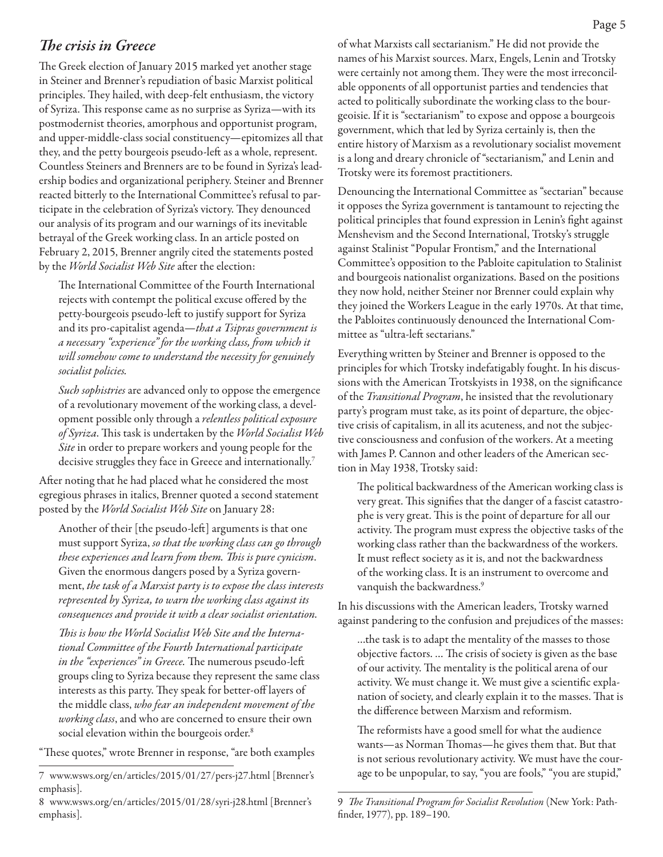### *The crisis in Greece*

The Greek election of January 2015 marked yet another stage in Steiner and Brenner's repudiation of basic Marxist political principles. They hailed, with deep-felt enthusiasm, the victory of Syriza. This response came as no surprise as Syriza—with its postmodernist theories, amorphous and opportunist program, and upper-middle-class social constituency—epitomizes all that they, and the petty bourgeois pseudo-left as a whole, represent. Countless Steiners and Brenners are to be found in Syriza's leadership bodies and organizational periphery. Steiner and Brenner reacted bitterly to the International Committee's refusal to participate in the celebration of Syriza's victory. They denounced our analysis of its program and our warnings of its inevitable betrayal of the Greek working class. In an article posted on February 2, 2015, Brenner angrily cited the statements posted by the *World Socialist Web Site* after the election:

The International Committee of the Fourth International rejects with contempt the political excuse offered by the petty-bourgeois pseudo-left to justify support for Syriza and its pro-capitalist agenda—*that a Tsipras government is a necessary "experience" for the working class, from which it will somehow come to understand the necessity for genuinely socialist policies.*

*Such sophistries* are advanced only to oppose the emergence of a revolutionary movement of the working class, a development possible only through a *relentless political exposure of Syriza*. This task is undertaken by the *World Socialist Web Site* in order to prepare workers and young people for the decisive struggles they face in Greece and internationally.<sup>7</sup>

After noting that he had placed what he considered the most egregious phrases in italics, Brenner quoted a second statement posted by the *World Socialist Web Site* on January 28:

Another of their [the pseudo-left] arguments is that one must support Syriza, *so that the working class can go through these experiences and learn from them. This is pure cynicism*. Given the enormous dangers posed by a Syriza government, *the task of a Marxist party is to expose the class interests represented by Syriza, to warn the working class against its consequences and provide it with a clear socialist orientation.*

*This is how the World Socialist Web Site and the International Committee of the Fourth International participate in the "experiences" in Greece.* The numerous pseudo-left groups cling to Syriza because they represent the same class interests as this party. They speak for better-off layers of the middle class, *who fear an independent movement of the working class*, and who are concerned to ensure their own social elevation within the bourgeois order.<sup>8</sup>

"These quotes," wrote Brenner in response, "are both examples

of what Marxists call sectarianism." He did not provide the names of his Marxist sources. Marx, Engels, Lenin and Trotsky were certainly not among them. They were the most irreconcilable opponents of all opportunist parties and tendencies that acted to politically subordinate the working class to the bourgeoisie. If it is "sectarianism" to expose and oppose a bourgeois government, which that led by Syriza certainly is, then the entire history of Marxism as a revolutionary socialist movement is a long and dreary chronicle of "sectarianism," and Lenin and Trotsky were its foremost practitioners.

Denouncing the International Committee as "sectarian" because it opposes the Syriza government is tantamount to rejecting the political principles that found expression in Lenin's fight against Menshevism and the Second International, Trotsky's struggle against Stalinist "Popular Frontism," and the International Committee's opposition to the Pabloite capitulation to Stalinist and bourgeois nationalist organizations. Based on the positions they now hold, neither Steiner nor Brenner could explain why they joined the Workers League in the early 1970s. At that time, the Pabloites continuously denounced the International Committee as "ultra-left sectarians."

Everything written by Steiner and Brenner is opposed to the principles for which Trotsky indefatigably fought. In his discussions with the American Trotskyists in 1938, on the significance of the *Transitional Program*, he insisted that the revolutionary party's program must take, as its point of departure, the objective crisis of capitalism, in all its acuteness, and not the subjective consciousness and confusion of the workers. At a meeting with James P. Cannon and other leaders of the American section in May 1938, Trotsky said:

The political backwardness of the American working class is very great. This signifies that the danger of a fascist catastrophe is very great. This is the point of departure for all our activity. The program must express the objective tasks of the working class rather than the backwardness of the workers. It must reflect society as it is, and not the backwardness of the working class. It is an instrument to overcome and vanquish the backwardness.9

In his discussions with the American leaders, Trotsky warned against pandering to the confusion and prejudices of the masses:

…the task is to adapt the mentality of the masses to those objective factors. … The crisis of society is given as the base of our activity. The mentality is the political arena of our activity. We must change it. We must give a scientific explanation of society, and clearly explain it to the masses. That is the difference between Marxism and reformism.

The reformists have a good smell for what the audience wants—as Norman Thomas—he gives them that. But that is not serious revolutionary activity. We must have the courage to be unpopular, to say, "you are fools," "you are stupid,"

<sup>7</sup> www.wsws.org/en/articles/2015/01/27/pers-j27.html [Brenner's emphasis].

<sup>8</sup> www.wsws.org/en/articles/2015/01/28/syri-j28.html [Brenner's emphasis].

<sup>9</sup> *The Transitional Program for Socialist Revolution* (New York: Pathfinder, 1977), pp. 189–190.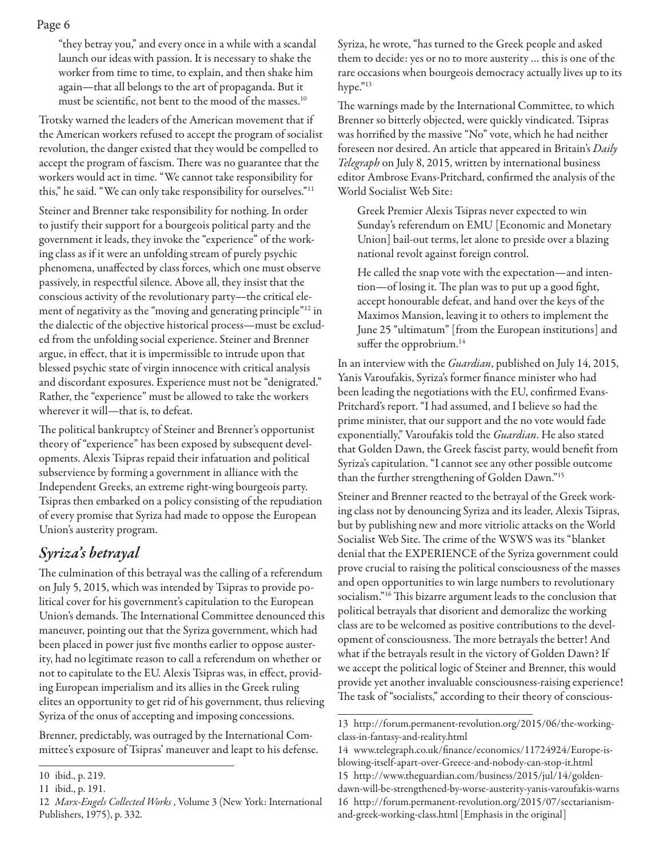"they betray you," and every once in a while with a scandal launch our ideas with passion. It is necessary to shake the worker from time to time, to explain, and then shake him again—that all belongs to the art of propaganda. But it must be scientific, not bent to the mood of the masses.10

Trotsky warned the leaders of the American movement that if the American workers refused to accept the program of socialist revolution, the danger existed that they would be compelled to accept the program of fascism. There was no guarantee that the workers would act in time. "We cannot take responsibility for this," he said. "We can only take responsibility for ourselves."11

Steiner and Brenner take responsibility for nothing. In order to justify their support for a bourgeois political party and the government it leads, they invoke the "experience" of the working class as if it were an unfolding stream of purely psychic phenomena, unaffected by class forces, which one must observe passively, in respectful silence. Above all, they insist that the conscious activity of the revolutionary party—the critical element of negativity as the "moving and generating principle"12 in the dialectic of the objective historical process—must be excluded from the unfolding social experience. Steiner and Brenner argue, in effect, that it is impermissible to intrude upon that blessed psychic state of virgin innocence with critical analysis and discordant exposures. Experience must not be "denigrated." Rather, the "experience" must be allowed to take the workers wherever it will—that is, to defeat.

The political bankruptcy of Steiner and Brenner's opportunist theory of "experience" has been exposed by subsequent developments. Alexis Tsipras repaid their infatuation and political subservience by forming a government in alliance with the Independent Greeks, an extreme right-wing bourgeois party. Tsipras then embarked on a policy consisting of the repudiation of every promise that Syriza had made to oppose the European Union's austerity program.

## *Syriza's betrayal*

The culmination of this betrayal was the calling of a referendum on July 5, 2015, which was intended by Tsipras to provide political cover for his government's capitulation to the European Union's demands. The International Committee denounced this maneuver, pointing out that the Syriza government, which had been placed in power just five months earlier to oppose austerity, had no legitimate reason to call a referendum on whether or not to capitulate to the EU. Alexis Tsipras was, in effect, providing European imperialism and its allies in the Greek ruling elites an opportunity to get rid of his government, thus relieving Syriza of the onus of accepting and imposing concessions.

Brenner, predictably, was outraged by the International Committee's exposure of Tsipras' maneuver and leapt to his defense. Syriza, he wrote, "has turned to the Greek people and asked them to decide: yes or no to more austerity … this is one of the rare occasions when bourgeois democracy actually lives up to its hype."<sup>13</sup>

The warnings made by the International Committee, to which Brenner so bitterly objected, were quickly vindicated. Tsipras was horrified by the massive "No" vote, which he had neither foreseen nor desired. An article that appeared in Britain's *Daily Telegraph* on July 8, 2015, written by international business editor Ambrose Evans-Pritchard, confirmed the analysis of the World Socialist Web Site:

Greek Premier Alexis Tsipras never expected to win Sunday's referendum on EMU [Economic and Monetary Union] bail-out terms, let alone to preside over a blazing national revolt against foreign control.

He called the snap vote with the expectation—and intention—of losing it. The plan was to put up a good fight, accept honourable defeat, and hand over the keys of the Maximos Mansion, leaving it to others to implement the June 25 "ultimatum" [from the European institutions] and suffer the opprobrium.<sup>14</sup>

In an interview with the *Guardian*, published on July 14, 2015, Yanis Varoufakis, Syriza's former finance minister who had been leading the negotiations with the EU, confirmed Evans-Pritchard's report. "I had assumed, and I believe so had the prime minister, that our support and the no vote would fade exponentially," Varoufakis told the *Guardian*. He also stated that Golden Dawn, the Greek fascist party, would benefit from Syriza's capitulation. "I cannot see any other possible outcome than the further strengthening of Golden Dawn."15

Steiner and Brenner reacted to the betrayal of the Greek working class not by denouncing Syriza and its leader, Alexis Tsipras, but by publishing new and more vitriolic attacks on the World Socialist Web Site. The crime of the WSWS was its "blanket denial that the EXPERIENCE of the Syriza government could prove crucial to raising the political consciousness of the masses and open opportunities to win large numbers to revolutionary socialism."<sup>16</sup> This bizarre argument leads to the conclusion that political betrayals that disorient and demoralize the working class are to be welcomed as positive contributions to the development of consciousness. The more betrayals the better! And what if the betrayals result in the victory of Golden Dawn? If we accept the political logic of Steiner and Brenner, this would provide yet another invaluable consciousness-raising experience! The task of "socialists," according to their theory of conscious-

<sup>10</sup> ibid., p. 219.

<sup>11</sup> ibid., p. 191.

<sup>12</sup> *Marx-Engels Collected Works* , Volume 3 (New York: International Publishers, 1975), p. 332.

<sup>13</sup> http://forum.permanent-revolution.org/2015/06/the-workingclass-in-fantasy-and-reality.html

<sup>14</sup> www.telegraph.co.uk/finance/economics/11724924/Europe-isblowing-itself-apart-over-Greece-and-nobody-can-stop-it.html 15 http://www.theguardian.com/business/2015/jul/14/goldendawn-will-be-strengthened-by-worse-austerity-yanis-varoufakis-warns 16 http://forum.permanent-revolution.org/2015/07/sectarianismand-greek-working-class.html [Emphasis in the original]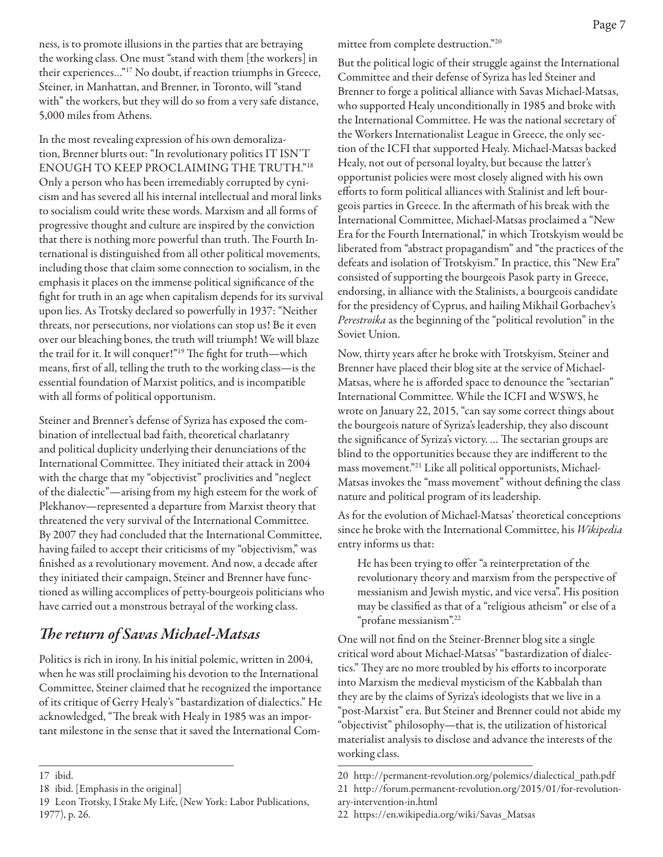ness, is to promote illusions in the parties that are betraying the working class. One must "stand with them [the workers] in their experiences…"17 No doubt, if reaction triumphs in Greece, Steiner, in Manhattan, and Brenner, in Toronto, will "stand with" the workers, but they will do so from a very safe distance, 5,000 miles from Athens.

In the most revealing expression of his own demoralization, Brenner blurts out: "In revolutionary politics IT ISN'T ENOUGH TO KEEP PROCLAIMING THE TRUTH."18 Only a person who has been irremediably corrupted by cynicism and has severed all his internal intellectual and moral links to socialism could write these words. Marxism and all forms of progressive thought and culture are inspired by the conviction that there is nothing more powerful than truth. The Fourth International is distinguished from all other political movements, including those that claim some connection to socialism, in the emphasis it places on the immense political significance of the fight for truth in an age when capitalism depends for its survival upon lies. As Trotsky declared so powerfully in 1937: "Neither threats, nor persecutions, nor violations can stop us! Be it even over our bleaching bones, the truth will triumph! We will blaze the trail for it. It will conquer!"19 The fight for truth—which means, first of all, telling the truth to the working class—is the essential foundation of Marxist politics, and is incompatible with all forms of political opportunism.

Steiner and Brenner's defense of Syriza has exposed the combination of intellectual bad faith, theoretical charlatanry and political duplicity underlying their denunciations of the International Committee. They initiated their attack in 2004 with the charge that my "objectivist" proclivities and "neglect of the dialectic"—arising from my high esteem for the work of Plekhanov—represented a departure from Marxist theory that threatened the very survival of the International Committee. By 2007 they had concluded that the International Committee, having failed to accept their criticisms of my "objectivism," was finished as a revolutionary movement. And now, a decade after they initiated their campaign, Steiner and Brenner have functioned as willing accomplices of petty-bourgeois politicians who have carried out a monstrous betrayal of the working class.

## *The return of Savas Michael-Matsas*

Politics is rich in irony. In his initial polemic, written in 2004, when he was still proclaiming his devotion to the International Committee, Steiner claimed that he recognized the importance of its critique of Gerry Healy's "bastardization of dialectics." He acknowledged, "The break with Healy in 1985 was an important milestone in the sense that it saved the International Committee from complete destruction."20

But the political logic of their struggle against the International Committee and their defense of Syriza has led Steiner and Brenner to forge a political alliance with Savas Michael-Matsas, who supported Healy unconditionally in 1985 and broke with the International Committee. He was the national secretary of the Workers Internationalist League in Greece, the only section of the ICFI that supported Healy. Michael-Matsas backed Healy, not out of personal loyalty, but because the latter's opportunist policies were most closely aligned with his own efforts to form political alliances with Stalinist and left bourgeois parties in Greece. In the aftermath of his break with the International Committee, Michael-Matsas proclaimed a "New Era for the Fourth International," in which Trotskyism would be liberated from "abstract propagandism" and "the practices of the defeats and isolation of Trotskyism." In practice, this "New Era" consisted of supporting the bourgeois Pasok party in Greece, endorsing, in alliance with the Stalinists, a bourgeois candidate for the presidency of Cyprus, and hailing Mikhail Gorbachev's *Perestroika* as the beginning of the "political revolution" in the Soviet Union.

Now, thirty years after he broke with Trotskyism, Steiner and Brenner have placed their blog site at the service of Michael-Matsas, where he is afforded space to denounce the "sectarian" International Committee. While the ICFI and WSWS, he wrote on January 22, 2015, "can say some correct things about the bourgeois nature of Syriza's leadership, they also discount the significance of Syriza's victory. … The sectarian groups are blind to the opportunities because they are indifferent to the mass movement."21 Like all political opportunists, Michael-Matsas invokes the "mass movement" without defining the class nature and political program of its leadership.

As for the evolution of Michael-Matsas' theoretical conceptions since he broke with the International Committee, his *Wikipedia* entry informs us that:

He has been trying to offer "a reinterpretation of the revolutionary theory and marxism from the perspective of messianism and Jewish mystic, and vice versa". His position may be classified as that of a "religious atheism" or else of a "profane messianism".22

One will not find on the Steiner-Brenner blog site a single critical word about Michael-Matsas' "bastardization of dialectics." They are no more troubled by his efforts to incorporate into Marxism the medieval mysticism of the Kabbalah than they are by the claims of Syriza's ideologists that we live in a "post-Marxist" era. But Steiner and Brenner could not abide my "objectivist" philosophy—that is, the utilization of historical materialist analysis to disclose and advance the interests of the working class.

<sup>17</sup> ibid.

<sup>18</sup> ibid. [Emphasis in the original]

<sup>19</sup> Leon Trotsky, I Stake My Life, (New York: Labor Publications, 1977), p. 26.

<sup>20</sup> http://permanent-revolution.org/polemics/dialectical\_path.pdf 21 http://forum.permanent-revolution.org/2015/01/for-revolution-

ary-intervention-in.html

<sup>22</sup> https://en.wikipedia.org/wiki/Savas\_Matsas